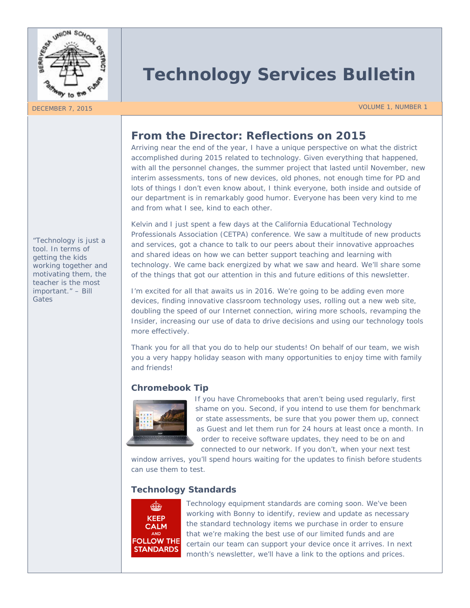

# **Technology Services Bulletin**

#### DECEMBER 7, 2015 VOLUME 1, NUMBER 1

## **From the Director: Reflections on 2015**

Arriving near the end of the year, I have a unique perspective on what the district accomplished during 2015 related to technology. Given everything that happened, with all the personnel changes, the summer project that lasted until November, new interim assessments, tons of new devices, old phones, not enough time for PD and lots of things I don't even know about, I think everyone, both inside and outside of our department is in remarkably good humor. Everyone has been very kind to me and from what I see, kind to each other.

Kelvin and I just spent a few days at the California Educational Technology Professionals Association (CETPA) conference. We saw a multitude of new products and services, got a chance to talk to our peers about their innovative approaches and shared ideas on how we can better support teaching and learning with technology. We came back energized by what we saw and heard. We'll share some of the things that got our attention in this and future editions of this newsletter.

I'm excited for all that awaits us in 2016. We're going to be adding even more devices, finding innovative classroom technology uses, rolling out a new web site, doubling the speed of our Internet connection, wiring more schools, revamping the Insider, increasing our use of data to drive decisions and using our technology tools more effectively.

Thank you for all that you do to help our students! On behalf of our team, we wish you a very happy holiday season with many opportunities to enjoy time with family and friends!

### **Chromebook Tip**



If you have Chromebooks that aren't being used regularly, first shame on you. Second, if you intend to use them for benchmark or state assessments, be sure that you power them up, connect as Guest and let them run for 24 hours at least once a month. In order to receive software updates, they need to be on and connected to our network. If you don't, when your next test

window arrives, you'll spend hours waiting for the updates to finish before students can use them to test.

#### **Technology Standards**



Technology equipment standards are coming soon. We've been working with Bonny to identify, review and update as necessary the standard technology items we purchase in order to ensure that we're making the best use of our limited funds and are certain our team can support your device once it arrives. In next month's newsletter, we'll have a link to the options and prices.

*"Technology is just a tool. In terms of getting the kids working together and motivating them, the teacher is the most important." – Bill Gates*